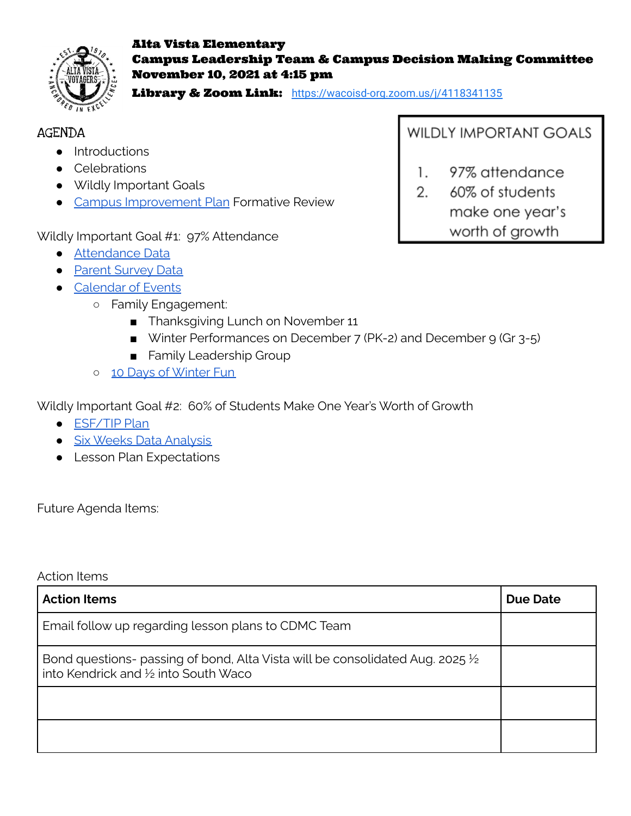

### Alta Vista Elementary Campus Leadership Team & Campus Decision Making Committee November 10, 2021 at 4:15 pm

Library & Zoom Link: <https://wacoisd-org.zoom.us/j/4118341135>

## AGENDA

- Introductions
- Celebrations
- Wildly Important Goals
- Campus [Improvement](https://drive.google.com/file/d/19igoLmfKmuqY3--t-FPQdYVj-1BiJoVk/view?usp=sharing) Plan Formative Review

Wildly Important Goal #1: 97% Attendance

- [Attendance](https://drive.google.com/file/d/1MrHNKPrBY_Z_ttV3Diz-q5dx1YYmmiRI/view?usp=sharing) Data
- Parent [Survey](https://drive.google.com/file/d/1SZMGNn9dhBBft5S7bRtbFD2BVOdi2b6U/view?usp=sharing) Data
- [Calendar](https://docs.google.com/spreadsheets/d/10y_Y4-Puf2B5TVZp9_6rc-g94gfklTsZljsJg11v-U4/edit?usp=sharing) of Events
	- Family Engagement:
		- Thanksgiving Lunch on November 11
		- Winter Performances on December 7 (PK-2) and December 9 (Gr 3-5)
		- Family Leadership Group
	- o 10 Days of [Winter](https://docs.google.com/spreadsheets/d/10y_Y4-Puf2B5TVZp9_6rc-g94gfklTsZljsJg11v-U4/edit?usp=sharing) Fun

Wildly Important Goal #2: 60% of Students Make One Year's Worth of Growth

- [ESF/TIP](https://drive.google.com/file/d/1rkUooIrTVF9WuvrN4UzP1Babyy0401Cm/view?usp=sharing) Plan
- Six Weeks Data [Analysis](https://docs.google.com/spreadsheets/d/17drLxnrAbosqUnVsaC6wEhUh0Vt-kkYzdFtMzEuUp3A/edit?usp=sharing)
- Lesson Plan Expectations

Future Agenda Items:

Action Items

| <b>Action Items</b>                                                                                                     | Due Date |
|-------------------------------------------------------------------------------------------------------------------------|----------|
| Email follow up regarding lesson plans to CDMC Team                                                                     |          |
| Bond questions- passing of bond, Alta Vista will be consolidated Aug. 2025 1/2<br>into Kendrick and 1/2 into South Waco |          |
|                                                                                                                         |          |
|                                                                                                                         |          |

**WILDLY IMPORTANT GOALS** 

- 1. 97% attendance
- 2. 60% of students make one year's worth of growth